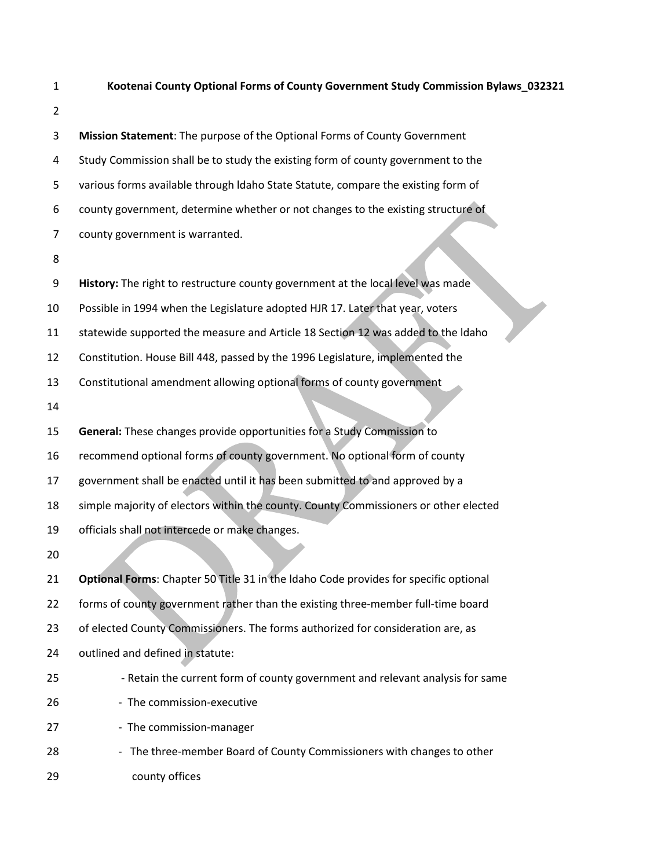- **Kootenai County Optional Forms of County Government Study Commission Bylaws\_032321 Mission Statement**: The purpose of the Optional Forms of County Government Study Commission shall be to study the existing form of county government to the various forms available through ldaho State Statute, compare the existing form of county government, determine whether or not changes to the existing structure of county government is warranted. **History:** The right to restructure county government at the local level was made Possible in 1994 when the Legislature adopted HJR 17. Later that year, voters statewide supported the measure and Article 18 Section 12 was added to the ldaho Constitution. House Bill 448, passed by the 1996 Legislature, implemented the Constitutional amendment allowing optional forms of county government **General:** These changes provide opportunities for a Study Commission to recommend optional forms of county government. No optional form of county government shall be enacted until it has been submitted to and approved by a simple majority of electors within the county. County Commissioners or other elected officials shall not intercede or make changes. **Optional Forms**: Chapter 50 Title 31 in the ldaho Code provides for specific optional forms of county government rather than the existing three-member full-time board of elected County Commissioners. The forms authorized for consideration are, as outlined and defined in statute: - Retain the current form of county government and relevant analysis for same 26 - The commission-executive
- 27 The commission-manager
- 28 The three-member Board of County Commissioners with changes to other 29 county offices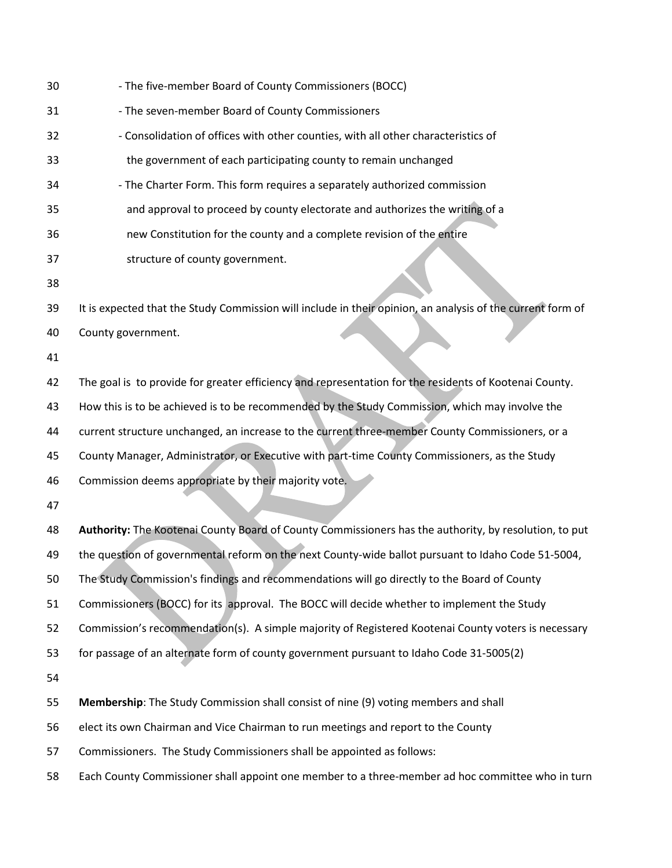| 30 | - The five-member Board of County Commissioners (BOCC)                                                     |
|----|------------------------------------------------------------------------------------------------------------|
| 31 | - The seven-member Board of County Commissioners                                                           |
| 32 | - Consolidation of offices with other counties, with all other characteristics of                          |
| 33 | the government of each participating county to remain unchanged                                            |
| 34 | - The Charter Form. This form requires a separately authorized commission                                  |
| 35 | and approval to proceed by county electorate and authorizes the writing of a                               |
| 36 | new Constitution for the county and a complete revision of the entire                                      |
| 37 | structure of county government.                                                                            |
| 38 |                                                                                                            |
| 39 | It is expected that the Study Commission will include in their opinion, an analysis of the current form of |
| 40 | County government.                                                                                         |
| 41 |                                                                                                            |
| 42 | The goal is to provide for greater efficiency and representation for the residents of Kootenai County.     |
| 43 | How this is to be achieved is to be recommended by the Study Commission, which may involve the             |
| 44 | current structure unchanged, an increase to the current three-member County Commissioners, or a            |
| 45 | County Manager, Administrator, or Executive with part-time County Commissioners, as the Study              |
| 46 | Commission deems appropriate by their majority vote.                                                       |
| 47 |                                                                                                            |
| 48 | Authority: The Kootenai County Board of County Commissioners has the authority, by resolution, to put      |
| 49 | the question of governmental reform on the next County-wide ballot pursuant to Idaho Code 51-5004,         |
| 50 | The Study Commission's findings and recommendations will go directly to the Board of County                |
| 51 | Commissioners (BOCC) for its approval. The BOCC will decide whether to implement the Study                 |
| 52 | Commission's recommendation(s). A simple majority of Registered Kootenai County voters is necessary        |
| 53 | for passage of an alternate form of county government pursuant to Idaho Code 31-5005(2)                    |
| 54 |                                                                                                            |
| 55 | Membership: The Study Commission shall consist of nine (9) voting members and shall                        |
| 56 | elect its own Chairman and Vice Chairman to run meetings and report to the County                          |
| 57 | Commissioners. The Study Commissioners shall be appointed as follows:                                      |
| 58 | Each County Commissioner shall appoint one member to a three-member ad hoc committee who in turn           |
|    |                                                                                                            |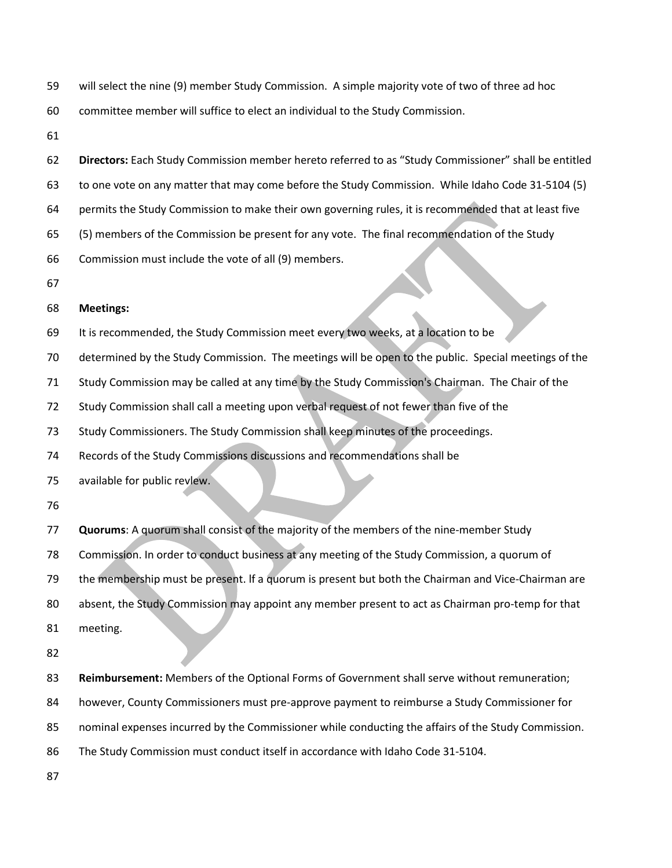will select the nine (9) member Study Commission. A simple majority vote of two of three ad hoc

**Directors:** Each Study Commission member hereto referred to as "Study Commissioner" shall be entitled

committee member will suffice to elect an individual to the Study Commission.

 to one vote on any matter that may come before the Study Commission. While Idaho Code 31-5104 (5) permits the Study Commission to make their own governing rules, it is recommended that at least five (5) members of the Commission be present for any vote. The final recommendation of the Study Commission must include the vote of all (9) members. **Meetings:** It is recommended, the Study Commission meet every two weeks, at a location to be determined by the Study Commission. The meetings will be open to the public. Special meetings of the Study Commission may be called at any time by the Study Commission's Chairman. The Chair of the Study Commission shall call a meeting upon verbal request of not fewer than five of the Study Commissioners. The Study Commission shall keep minutes of the proceedings. Records of the Study Commissions discussions and recommendations shall be available for public revlew. **Quorums**: A quorum shall consist of the majority of the members of the nine-member Study Commission. In order to conduct business at any meeting of the Study Commission, a quorum of the membership must be present. lf a quorum is present but both the Chairman and Vice-Chairman are absent, the Study Commission may appoint any member present to act as Chairman pro-temp for that meeting. **Reimbursement:** Members of the Optional Forms of Government shall serve without remuneration; however, County Commissioners must pre-approve payment to reimburse a Study Commissioner for nominal expenses incurred by the Commissioner while conducting the affairs of the Study Commission. The Study Commission must conduct itself in accordance with Idaho Code 31-5104.